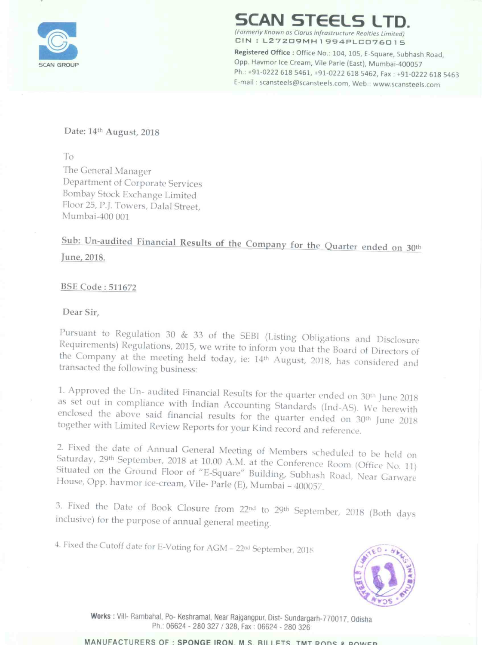

## AN STEELS L

(Formerly Known as Clarus Infrastructure Realties Limited)

CIN: L27209MH1994PLC076015<br>Registered Office : Office No.: 104, 105, E-Square, Subhash Road, SCAN STEELS LImited)<br>
Formerly Known as Clarus Infrastructure Realties Limited)<br>
CIN : L27209MH 1994PLC076015<br>
Registered Office : Office No.: 104, 105, E-Square, Subhash Road,<br>
Opp. Havmor Ice Cream, Vile Parle (East), Mu Opp. Havmor Ice Cream, Vile Parle (East), Mumbai-400057 Ph .: +91-0222 618 5461, +91-0222 618 5462, Fax : +91-0222 618 5463 E-mail : scansteels@scanstee|5.com, Web.: www.5cansteels.com

### Date: 14th August, 2018

To

The General Manager Department of Corporate Services Bombay Stock Exchange Limited Floor 25, P.J. Towers, Dalal Street, Mumbai-400 001

Sub: Un-audited Financial Results of the Company for the Quarter ended on 30th lune, 2018.

### BSE Code : 511672

Dear Sir,

Pursuant to Regulation 30 & 33 of the SEBI (Listing Obligations and Disclosure Requirements) Regulations, 2015, we write to inform you that the Board of Directors of the Company at the meeting held today, ie: 14<sup>th</sup> August, 2018, has considered and transacted the following business:

1. Approved the Un- audited Financial Results for the quarter ended on 30<sup>th</sup> June 2018 as set out in compliance with Indian Accounting Standards (Ind-AS). We herewith enclosed the above said financial results for the quarter ended on 30<sup>th</sup> June 2018<br>together with Limited Review Reports for your Kind record and reference.

2. Fixed the date of Annual General Meeting of Members scheduled to be held on Saturday, 29<sup>th</sup> September, 2018 at 10.00 A.M. at the Conference Room (Office No. 11) Situated Saturday, 29th September, 2018 at 10.00 A.M. at the Conference Room (Office No. 11)<br>Situated on the Ground Floor of "E-Square" Building, Subhash Road, Near Garware<br>House, Opp. havmor ice-cream, Vile- Parle (E), Mumbai – 40 House, Opp. havmor ice-cream, Vile-Parle (E), Mumbai - 400057.

3. Fixed the Date of Book Closure from 22<sup>nd</sup> to 29<sup>th</sup> September, 2018 (Both days inclusive) for the purpose of annual general meeting.

4. Fixed the Cutoff date for E-Voting for AGM – 22nd September, 2018



Works : Vill- Rambahal, Po- Keshramal, Near Rajgangpur, Dist- Sundargarh-770017, Odisha Ph.: 06624 <sup>~</sup> 280 327/328. Fax : 06624 - 280 326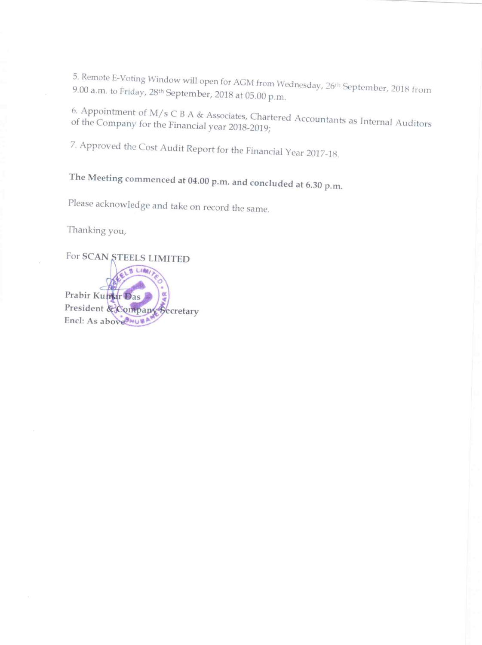5. Remote E-Voting Window will open for AGM from Wednesday, 26<sup>th</sup> September, 2018 from 9.00 a.m. to Friday, 28<sup>th</sup> September, 2018 from

6. Appointment of M/s C B A & Associates, Chartered Accountants as Internal Auditors of the Company for the Financial year 2018-2019;

7. Approved the Cost Audit Report for the Financial Year 2017-18.

# The Meeting commenced at 04.00 p.m. and concluded at 6.30 p.m.

Please acknowledge and take on record the same.

Thanking you,

For SCAN STEELS LIMITED a. Lide, Prabir Kumar Das President & Company Secretary Encl: As above MUSA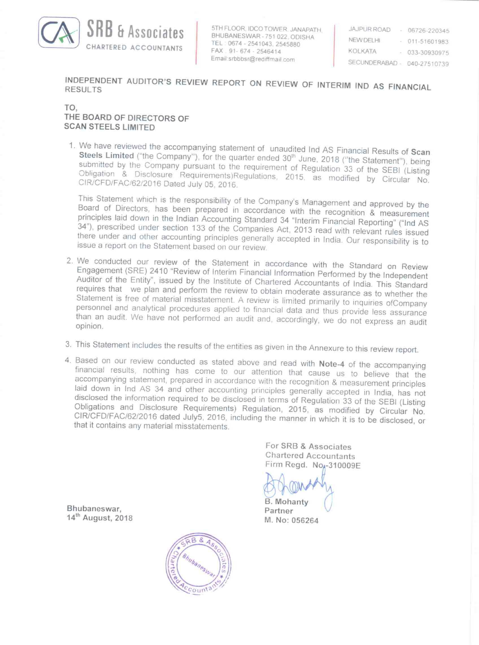

**HASSOCIATES** STHELOOR IDCO TOWER JANAPATH JAJPUR ROAD - 06726-220345 TEL 0674 - 2541043, 2545880 NEW DELHI - 011-51601983<br>
FAX 91-674 - 2546414 KOLKATA - 033-3093097 FAX 91-674 - 2546414<br>
Email:srbbbsr@rediffmail.com entry serving

03330930975 SECUNDERABAD - 040-27510739

INDEPENDENT AUDITOR'S REVIEW REPORT ON REVIEW OF INTERIM IND AS FINANCIAL RESULTS

### TO, THE BOARD OF DIRECTORS OF SCAN STEELS LIMITED

1. We have reviewed the accompanying statement of unaudited Ind AS Financial Results of Scan Steels Limited ("the Company"), for the quarter ended 30<sup>th</sup> June, 2018 ("the Statement"), being submitted Steels Limited ("the Company"), for the quarter ended 30<sup>th</sup> June, 2018 ("the Statement"), being<br>submitted by the Company pursuant to the requirement of Regulation 33 of the SEBI (Listing<br>Obligation & Disclosure Requiremen

This Statement which is the responsibility of the Company's Management and approved by the Board of Directors, has been prepared in accordance with the recognition & measurement principles laid down in the Indian Accountin

- 2. We conducted our review of the Statement in accordance with the Standard on Review Engagement (SRE) 2410 "Review of Interim Financial Information Performed by the Independent Auditor of the Entity", issued by the Instit opinion.
- 
- 3. This Statement includes the results of the entities as given in the Annexure to this review report.<br>4. Based on our review conducted as stated above and read with Note-4 of the accompanying financial results, nothing has come to our attention that cause us to believe that the accompanying statement, prepared in accordance with the recognition & measurement principles laid down in Ind AS 34 and other accounting principles generally accepted in India, has not disclosed the information required to be disclosed in terms of Regulation 33 of the SEBI (Listing Obligations and Disclosure Requi

For SRB & Associates Chartered Accountants Firm Regd.  $No_4 - 310009E$ 

B. Mohanty M. No: 056264

Bhubaneswar,<br>14<sup>th</sup> August, 2018

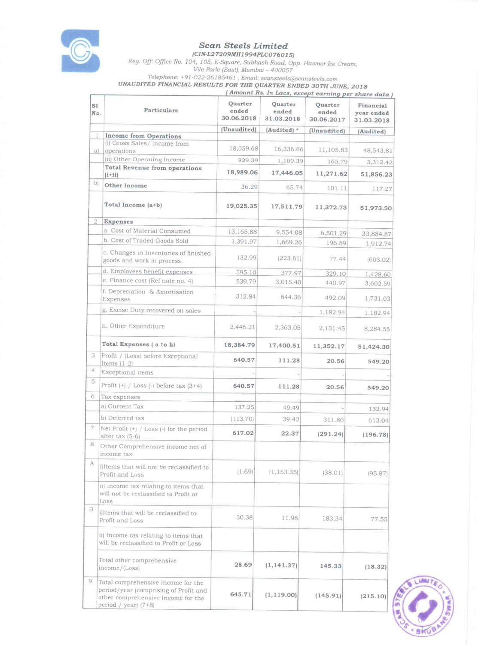

#### **Scan Steels Limited** (CIN-L27209MH1994PLC076015)

Reg. Off: Office No. 104, 105, E-Square, Subhash Road, Opp. Havmor Ice Cream, Vile Parle (East), Mumbai - 400057 Telephone: +91-022-26185461 ; Email: scansteels@scansteels.com UNAUDITED FINANCIAL RESULTS FOR THE QUARTER ENDED 30TH JUNE, 2018

(Amount Rs. In Lacs, except earning per share data) Quarter Ouarter Ouarter SI Financial Particulars ended ended ended  $N<sub>O</sub>$ vear ended 30.06.2018 31.03.2018 30.06.2017 31.03.2018 (Unaudited) (Audited) \* (Unaudited) (Audited) **Income from Operations** (i) Gross Sales/income from 18,059.68 16,336.66 11,105.83 48,543.81 operations a) (ii) Other Operating Income 929.39 1,109.39 165.79 3,312.42 **Total Revenue from operations** 18,989.06 17,446.05 11,271.62 51,856.23  $(i+ii)$  $\mathbf{b}$ Other Income 36.29 65.74 101.11 117.27 Total Income (a+b) 19,025.35 17,511.79 11,372.73 51,973.50 Expenses  $\overline{2}$ a. Cost of Material Consumed 13,165.88 9,554.08 6,501.29 33,884.87 b. Cost of Traded Goods Sold 1.391.97 1,669.26 196.89 1,912.74 c. Changes in Inventories of finished 132.99  $(223.61)$ 77.44  $(603.02)$ goods and work in process. d. Employees benefit expenses 395.10 377.97 329.10 1,428.60 e. Finance cost (Ref note no. 4) 539.79 3,015.40 440.97 3,602.59 f. Depreciation & Amortisation 312.84 644.36 492.09 Expenses 1,731.03 g. Excise Duty recovered on sales 1,182.94 1,182.94 h. Other Expenditure 2,446.21 2,363.05 2,131.45 8,284.55 Total Expenses (a to h) 18,384.79 17,400.51 11,352.17 51,424.30 3 Profit / (Loss) before Exceptional 640.57 111.28 20.56 549.20 Items  $(1-2)$  $\Delta$ Exceptional items  $\overline{5}$ Profit  $(+)$  / Loss  $(-)$  before tax  $(3+4)$ 640.57 111.28 20.56 549.20 6 Tax expenses a) Current Tax 137.25 49.49 132.94 b) Deferred tax  $(113.70)$ 39.42 311.80 613.04  $\overline{\mathcal{L}}$ Net Profit (+) / Loss (-) for the period 617.02 22.37  $(291.24)$  $(196.78)$ after tax (5-6) 8 Other Comprehensive income net of income tax A i)Items that will not be reclassified to  $(1.69)$  $(1.153.35)$  $(38.01)$  $(95.87)$ Profit and Loss ii) Income tax relating to items that will not be reclassified to Profit or Loss  $\,$  B illtems that will be reclassified to 30.38 11.98 183.34 77.55 Profit and Loss ii) Income tax relating to items that will be reclassified to Profit or Loss Total other comprehensive 28.69  $(1, 141.37)$ 145.33  $(18.32)$ income/(Loss)  $\mathbf{Q}$ Total comprehensive Income for the period/year (comprising of Profit and 645.71  $(1, 119.00)$  $(145.91)$  $(215.10)$ other comprehensive Income for the period / year)  $(7+8)$